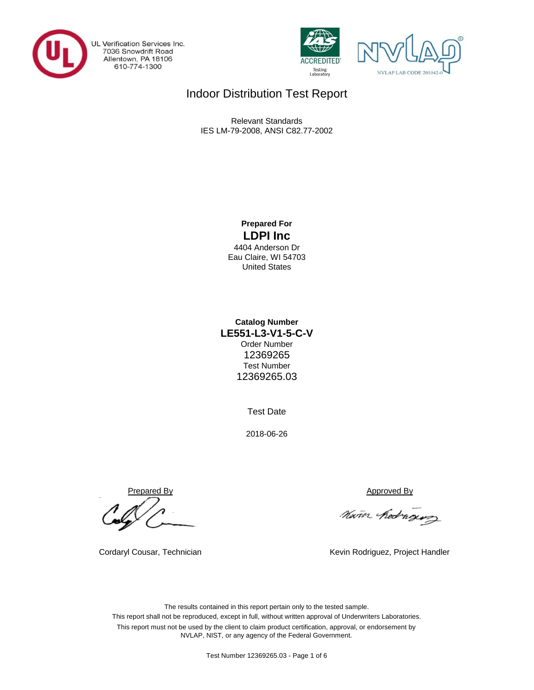

UL Verification Services Inc. 7036 Snowdrift Road<br>Allentown, PA 18106 610-774-1300





# Indoor Distribution Test Report

Relevant Standards IES LM-79-2008, ANSI C82.77-2002

## **Prepared For LDPI Inc**

4404 Anderson Dr Eau Claire, WI 54703 United States

## **LE551-L3-V1-5-C-V Catalog Number** Order Number 12369265 Test Number 12369265.03

Test Date

2018-06-26

Prepared By Approved By

Nam hedrogus

Cordaryl Cousar, Technician 
Kevin Rodriguez, Project Handler

The results contained in this report pertain only to the tested sample. This report shall not be reproduced, except in full, without written approval of Underwriters Laboratories. This report must not be used by the client to claim product certification, approval, or endorsement by NVLAP, NIST, or any agency of the Federal Government.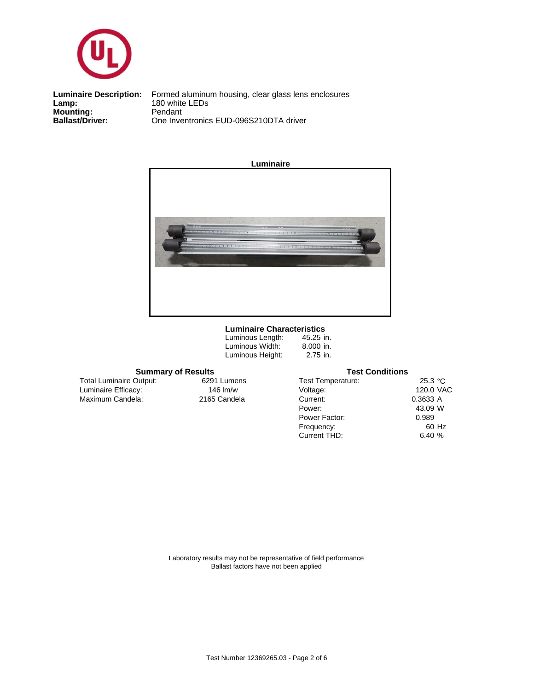

**Mounting:** Pendant<br> **Ballast/Driver:** One Inve **Luminaire Description:**<br>Lamp:

One Inventronics EUD-096S210DTA driver Formed aluminum housing, clear glass lens enclosures<br>180 white LEDs



## **Luminaire Characteristics**

| Luminous Length: |  |
|------------------|--|
| Luminous Width:  |  |
| Luminous Height: |  |

45.25 in. 8.000 in. 2.75 in.

### **Summary of Results**

Maximum Candela: 2165 Candela Luminaire Efficacy: 146 lm/w Total Luminaire Output:

6291 Lumens

| <b>Test Conditions</b>   |           |       |  |  |  |  |  |  |
|--------------------------|-----------|-------|--|--|--|--|--|--|
| <b>Test Temperature:</b> | 25.3 °C   |       |  |  |  |  |  |  |
| Voltage:                 | 120.0 VAC |       |  |  |  |  |  |  |
| Current:                 | 0.3633 A  |       |  |  |  |  |  |  |
| Power:                   | 43.09 W   |       |  |  |  |  |  |  |
| Power Factor:            | 0.989     |       |  |  |  |  |  |  |
| Frequency:               |           | 60 Hz |  |  |  |  |  |  |
| Current THD:             | 6.40 $%$  |       |  |  |  |  |  |  |

Laboratory results may not be representative of field performance Ballast factors have not been applied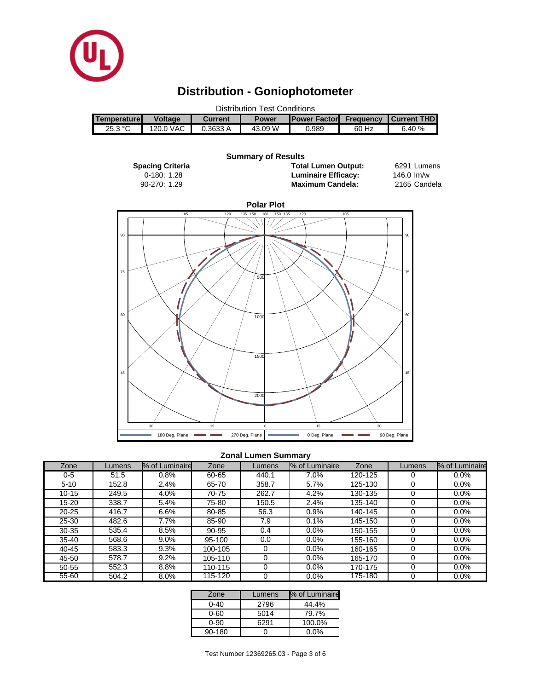

# **Distribution - Goniophotometer**

| <b>Distribution Test Conditions</b> |                |                                                 |         |       |                  |                    |  |  |  |
|-------------------------------------|----------------|-------------------------------------------------|---------|-------|------------------|--------------------|--|--|--|
| <b>Temperature</b>                  | <b>Voltage</b> | <b>IPower Factor</b><br><b>Power</b><br>Current |         |       | <b>Frequency</b> | <b>Current THD</b> |  |  |  |
| 25.3 °C                             | 120.0 VAC      | 0.3633 A                                        | 43.09 W | 0.989 | 60 Hz            | 6.40%              |  |  |  |

#### 6291 Lumens 2165 Candela 1.29 2165 90-270: **Maximum Candela: Spacing Criteria Total Lumen Output:** 0-180: 1.28 **Summary of Results Luminaire Efficacy:** 146.0 lm/w



## **Zonal Lumen Summary**

| Zone      | Lumens | % of Luminaire | Zone    | Lumens | % of Luminaire | Zone    | Lumens   | % of Luminaire |
|-----------|--------|----------------|---------|--------|----------------|---------|----------|----------------|
| 0-5       | 51.5   | 0.8%           | 60-65   | 440.1  | 7.0%           | 120-125 | 0        | 0.0%           |
| $5 - 10$  | 152.8  | 2.4%           | 65-70   | 358.7  | 5.7%           | 125-130 | 0        | 0.0%           |
| 10-15     | 249.5  | 4.0%           | 70-75   | 262.7  | 4.2%           | 130-135 | $\Omega$ | $0.0\%$        |
| 15-20     | 338.7  | 5.4%           | 75-80   | 150.5  | 2.4%           | 135-140 | 0        | 0.0%           |
| $20 - 25$ | 416.7  | 6.6%           | 80-85   | 56.3   | 0.9%           | 140-145 | $\Omega$ | 0.0%           |
| 25-30     | 482.6  | 7.7%           | 85-90   | 7.9    | 0.1%           | 145-150 | 0        | 0.0%           |
| $30 - 35$ | 535.4  | 8.5%           | 90-95   | 0.4    | $0.0\%$        | 150-155 | 0        | 0.0%           |
| $35 - 40$ | 568.6  | 9.0%           | 95-100  | 0.0    | $0.0\%$        | 155-160 | 0        | 0.0%           |
| $40 - 45$ | 583.3  | 9.3%           | 100-105 | 0      | $0.0\%$        | 160-165 | 0        | 0.0%           |
| 45-50     | 578.7  | 9.2%           | 105-110 | 0      | 0.0%           | 165-170 | 0        | $0.0\%$        |
| 50-55     | 552.3  | 8.8%           | 110-115 | 0      | $0.0\%$        | 170-175 | 0        | 0.0%           |
| 55-60     | 504.2  | 8.0%           | 115-120 |        | 0.0%           | 175-180 | 0        | 0.0%           |

| Zone     | Lumens | % of Luminaire |
|----------|--------|----------------|
| $0 - 40$ | 2796   | 44.4%          |
| $0 - 60$ | 5014   | 79.7%          |
| $0 - 90$ | 6291   | 100.0%         |
| 90-180   |        | $0.0\%$        |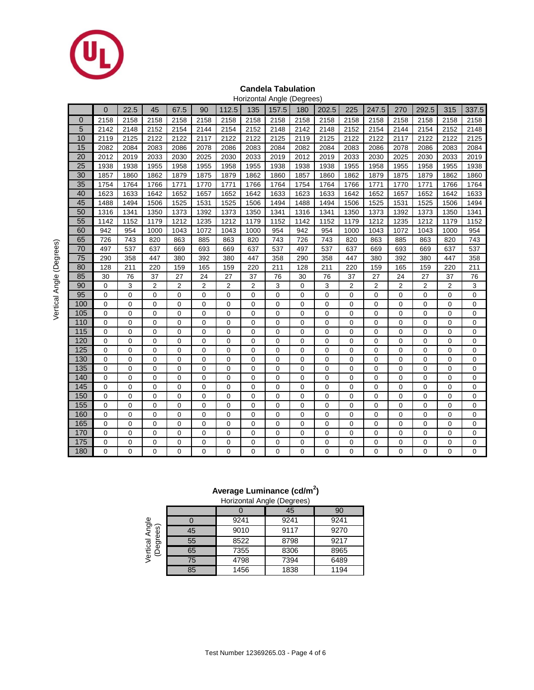

### **Candela Tabulation** Horizontal Angle (Degrees)

|                 |                |             |                |                |      |                         | 1012011017190  |             | $\sim$ uyı u $\sim$ |             |                |                |                |          |                  |             |
|-----------------|----------------|-------------|----------------|----------------|------|-------------------------|----------------|-------------|---------------------|-------------|----------------|----------------|----------------|----------|------------------|-------------|
|                 | $\Omega$       | 22.5        | 45             | 67.5           | 90   | 112.5                   | 135            | 157.5       | 180                 | 202.5       | 225            | 247.5          | 270            | 292.5    | 315              | 337.5       |
| $\Omega$        | 2158           | 2158        | 2158           | 2158           | 2158 | 2158                    | 2158           | 2158        | 2158                | 2158        | 2158           | 2158           | 2158           | 2158     | 2158             | 2158        |
| 5               | 2142           | 2148        | 2152           | 2154           | 2144 | 2154                    | 2152           | 2148        | 2142                | 2148        | 2152           | 2154           | 2144           | 2154     | 2152             | 2148        |
| 10              | 2119           | 2125        | 2122           | 2122           | 2117 | 2122                    | 2122           | 2125        | 2119                | 2125        | 2122           | 2122           | 2117           | 2122     | 2122             | 2125        |
| 15              | 2082           | 2084        | 2083           | 2086           | 2078 | 2086                    | 2083           | 2084        | 2082                | 2084        | 2083           | 2086           | 2078           | 2086     | 2083             | 2084        |
| 20              | 2012           | 2019        | 2033           | 2030           | 2025 | 2030                    | 2033           | 2019        | 2012                | 2019        | 2033           | 2030           | 2025           | 2030     | 2033             | 2019        |
| 25              | 1938           | 1938        | 1955           | 1958           | 1955 | 1958                    | 1955           | 1938        | 1938                | 1938        | 1955           | 1958           | 1955           | 1958     | 1955             | 1938        |
| 30              | 1857           | 1860        | 1862           | 1879           | 1875 | 1879                    | 1862           | 1860        | 1857                | 1860        | 1862           | 1879           | 1875           | 1879     | 1862             | 1860        |
| 35              | 1754           | 1764        | 1766           | 1771           | 1770 | 1771                    | 1766           | 1764        | 1754                | 1764        | 1766           | 1771           | 1770           | 1771     | 1766             | 1764        |
| 40              | 1623           | 1633        | 1642           | 1652           | 1657 | 1652                    | 1642           | 1633        | 1623                | 1633        | 1642           | 1652           | 1657           | 1652     | 1642             | 1633        |
| 45              | 1488           | 1494        | 1506           | 1525           | 1531 | 1525                    | 1506           | 1494        | 1488                | 1494        | 1506           | 1525           | 1531           | 1525     | 1506             | 1494        |
| 50              | 1316           | 1341        | 1350           | 1373           | 1392 | 1373                    | 1350           | 1341        | 1316                | 1341        | 1350           | 1373           | 1392           | 1373     | 1350             | 1341        |
| 55              | 1142           | 1152        | 1179           | 1212           | 1235 | 1212                    | 1179           | 1152        | 1142                | 1152        | 1179           | 1212           | 1235           | 1212     | 1179             | 1152        |
| 60              | 942            | 954         | 1000           | 1043           | 1072 | 1043                    | 1000           | 954         | 942                 | 954         | 1000           | 1043           | 1072           | 1043     | 1000             | 954         |
| 65              | 726            | 743         | 820            | 863            | 885  | 863                     | 820            | 743         | 726                 | 743         | 820            | 863            | 885            | 863      | 820              | 743         |
| 70              | 497            | 537         | 637            | 669            | 693  | 669                     | 637            | 537         | 497                 | 537         | 637            | 669            | 693            | 669      | 637              | 537         |
| $\overline{75}$ | 290            | 358         | 447            | 380            | 392  | 380                     | 447            | 358         | 290                 | 358         | 447            | 380            | 392            | 380      | 447              | 358         |
| 80              | 128            | 211         | 220            | 159            | 165  | 159                     | 220            | 211         | 128                 | 211         | 220            | 159            | 165            | 159      | 220              | 211         |
| 85              | 30             | 76          | 37             | 27             | 24   | 27                      | 37             | 76          | 30                  | 76          | 37             | 27             | 24             | 27       | 37               | 76          |
| 90              | 0              | 3           | $\overline{2}$ | $\overline{2}$ | 2    | $\overline{\mathbf{c}}$ | $\overline{2}$ | 3           | 0                   | 3           | $\overline{2}$ | $\overline{2}$ | $\overline{2}$ | 2        | $\overline{2}$   | 3           |
| 95              | $\mathbf 0$    | 0           | $\mathbf 0$    | 0              | 0    | $\mathbf 0$             | $\mathbf 0$    | $\mathbf 0$ | $\mathbf 0$         | 0           | $\mathbf 0$    | $\mathbf 0$    | $\mathbf 0$    | 0        | $\mathbf 0$      | 0           |
| 100             | $\mathbf 0$    | 0           | $\mathbf 0$    | 0              | 0    | $\mathbf 0$             | $\mathbf 0$    | $\mathbf 0$ | $\mathbf 0$         | 0           | $\mathbf 0$    | $\mathbf 0$    | $\mathbf 0$    | 0        | $\boldsymbol{0}$ | $\mathbf 0$ |
| 105             | $\mathbf 0$    | 0           | $\mathbf 0$    | 0              | 0    | $\mathbf 0$             | $\mathbf 0$    | $\mathbf 0$ | $\mathbf 0$         | 0           | $\mathbf 0$    | $\mathbf 0$    | $\mathbf 0$    | 0        | $\mathbf 0$      | $\mathbf 0$ |
| 110             | $\mathbf 0$    | 0           | $\mathbf 0$    | 0              | 0    | $\mathbf 0$             | 0              | $\mathbf 0$ | $\mathbf 0$         | 0           | $\mathbf 0$    | $\mathbf 0$    | $\mathbf 0$    | 0        | $\mathbf 0$      | $\mathbf 0$ |
| 115             | $\mathbf 0$    | 0           | $\mathbf 0$    | $\mathbf 0$    | 0    | $\mathbf 0$             | 0              | $\mathbf 0$ | $\mathbf 0$         | 0           | $\mathbf 0$    | $\mathbf 0$    | $\mathbf 0$    | 0        | $\mathbf 0$      | $\mathbf 0$ |
| 120             | $\mathbf 0$    | 0           | $\mathbf 0$    | $\mathbf 0$    | 0    | $\mathbf 0$             | $\mathbf 0$    | $\mathbf 0$ | $\mathbf 0$         | $\mathbf 0$ | $\mathbf 0$    | $\mathbf 0$    | $\overline{0}$ | 0        | $\mathbf 0$      | $\mathbf 0$ |
| 125             | $\mathbf 0$    | 0           | $\mathbf 0$    | $\overline{0}$ | 0    | $\mathbf 0$             | $\mathbf 0$    | $\mathbf 0$ | $\mathbf 0$         | 0           | $\mathbf 0$    | $\mathbf 0$    | $\mathbf 0$    | 0        | $\mathbf 0$      | $\mathbf 0$ |
| 130             | $\mathbf 0$    | $\mathbf 0$ | $\mathbf 0$    | $\mathbf 0$    | 0    | $\mathbf 0$             | 0              | $\mathbf 0$ | $\mathbf 0$         | $\mathbf 0$ | $\mathbf 0$    | $\mathbf 0$    | $\overline{0}$ | 0        | $\mathbf 0$      | 0           |
| 135             | $\mathbf 0$    | 0           | $\mathbf 0$    | 0              | 0    | $\mathbf 0$             | $\mathbf 0$    | $\mathbf 0$ | $\mathbf 0$         | 0           | $\mathbf 0$    | $\mathbf 0$    | $\overline{0}$ | 0        | $\mathbf 0$      | $\mathbf 0$ |
| 140             | $\mathbf 0$    | 0           | $\mathbf 0$    | 0              | 0    | $\mathbf 0$             | $\mathbf 0$    | $\mathbf 0$ | $\mathbf 0$         | 0           | $\mathbf 0$    | $\mathbf 0$    | $\overline{0}$ | 0        | $\mathbf 0$      | $\mathbf 0$ |
| 145             | $\mathbf 0$    | 0           | $\mathbf 0$    | 0              | 0    | $\mathbf 0$             | $\mathbf 0$    | $\mathbf 0$ | $\boldsymbol{0}$    | 0           | $\mathbf 0$    | $\mathbf 0$    | $\overline{0}$ | 0        | 0                | $\mathbf 0$ |
| 150             | $\mathbf 0$    | 0           | $\mathbf 0$    | $\mathbf 0$    | 0    | $\mathbf 0$             | $\Omega$       | $\mathbf 0$ | $\mathbf 0$         | 0           | $\mathbf 0$    | $\Omega$       | $\mathbf 0$    | 0        | $\mathbf 0$      | $\mathbf 0$ |
| 155             | $\overline{0}$ | 0           | $\mathbf 0$    | 0              | 0    | $\mathbf 0$             | 0              | $\mathbf 0$ | $\mathbf 0$         | 0           | $\mathbf 0$    | 0              | $\mathbf 0$    | 0        | 0                | $\mathbf 0$ |
| 160             | $\mathbf 0$    | 0           | $\mathbf 0$    | 0              | 0    | $\mathbf 0$             | $\mathbf 0$    | $\mathbf 0$ | 0                   | 0           | $\mathbf 0$    | $\mathbf 0$    | $\mathbf 0$    | 0        | 0                | $\mathbf 0$ |
| 165             | 0              | 0           | $\mathbf 0$    | 0              | 0    | 0                       | $\mathbf 0$    | $\mathbf 0$ | 0                   | 0           | 0              | $\mathbf 0$    | 0              | 0        | 0                | 0           |
| 170             | $\mathbf 0$    | 0           | $\mathbf 0$    | 0              | 0    | 0                       | 0              | $\mathbf 0$ | $\mathbf 0$         | 0           | $\mathbf 0$    | $\mathbf 0$    | 0              | 0        | $\boldsymbol{0}$ | 0           |
| 175             | $\overline{0}$ | 0           | $\mathbf 0$    | 0              | 0    | $\mathbf 0$             | $\mathbf 0$    | $\mathbf 0$ | $\mathbf 0$         | 0           | $\mathbf 0$    | $\overline{0}$ | $\mathbf 0$    | 0        | $\mathbf 0$      | $\mathbf 0$ |
| 180             | $\Omega$       | 0           | $\Omega$       | $\overline{0}$ | 0    | $\Omega$                | $\Omega$       | $\Omega$    | $\Omega$            | 0           | $\Omega$       | $\Omega$       | $\Omega$       | $\Omega$ | $\Omega$         | 0           |

## **Average Luminance (cd/m<sup>2</sup> )**

|                  |    | Horizontal Angle (Degrees) |      |      |
|------------------|----|----------------------------|------|------|
|                  |    |                            | 45   | 90   |
|                  |    | 9241                       | 9241 | 9241 |
| Angle<br>egrees) | 45 | 9010                       | 9117 | 9270 |
|                  | 55 | 8522                       | 8798 | 9217 |
| verucal<br>⊖     | 65 | 7355                       | 8306 | 8965 |
|                  | 75 | 4798                       | 7394 | 6489 |
|                  | 85 | 1456                       | 1838 | 1194 |

Vertical Angle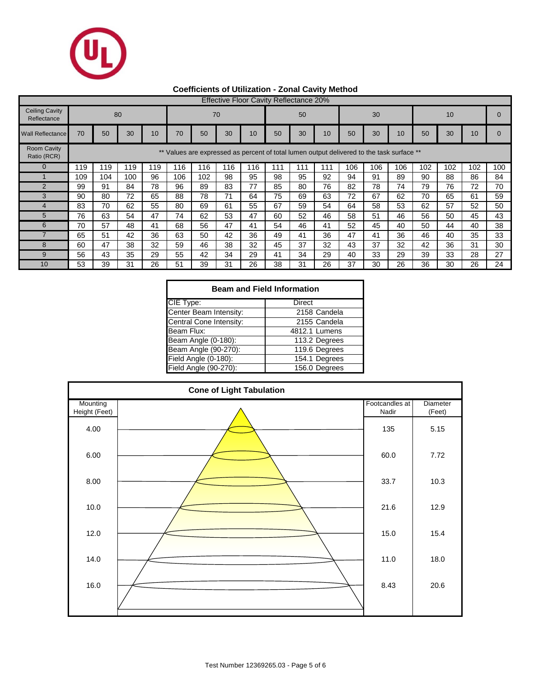

## **Coefficients of Utilization - Zonal Cavity Method**

| <b>Effective Floor Cavity Reflectance 20%</b> |     |                                                                                                 |     |     |     |     |     |     |     |     |     |     |     |     |     |     |     |     |
|-----------------------------------------------|-----|-------------------------------------------------------------------------------------------------|-----|-----|-----|-----|-----|-----|-----|-----|-----|-----|-----|-----|-----|-----|-----|-----|
| <b>Ceiling Cavity</b><br>Reflectance          |     |                                                                                                 | 80  |     |     |     | 70  |     |     | 50  |     |     | 30  | 10  |     |     |     |     |
| <b>Wall Reflectance</b>                       | 70  | 50                                                                                              | 30  | 10  | 70  | 50  | 30  | 10  | 50  | 30  | 10  | 50  | 30  | 10  | 50  | 30  | 10  |     |
| <b>Room Cavity</b><br>Ratio (RCR)             |     | $***$<br>Values are expressed as percent of total lumen output delivered to the task surface ** |     |     |     |     |     |     |     |     |     |     |     |     |     |     |     |     |
| $\Omega$                                      | 119 | 119                                                                                             | 119 | 119 | 116 | 116 | 116 | 116 | 111 | 111 | 111 | 106 | 106 | 106 | 102 | 102 | 102 | 100 |
|                                               | 109 | 104                                                                                             | 100 | 96  | 106 | 102 | 98  | 95  | 98  | 95  | 92  | 94  | 91  | 89  | 90  | 88  | 86  | 84  |
| $\mathfrak{p}$                                | 99  | 91                                                                                              | 84  | 78  | 96  | 89  | 83  | 77  | 85  | 80  | 76  | 82  | 78  | 74  | 79  | 76  | 72  | 70  |
| 3                                             | 90  | 80                                                                                              | 72  | 65  | 88  | 78  | 71  | 64  | 75  | 69  | 63  | 72  | 67  | 62  | 70  | 65  | 61  | 59  |
| 4                                             | 83  | 70                                                                                              | 62  | 55  | 80  | 69  | 61  | 55  | 67  | 59  | 54  | 64  | 58  | 53  | 62  | 57  | 52  | 50  |
| 5                                             | 76  | 63                                                                                              | 54  | 47  | 74  | 62  | 53  | 47  | 60  | 52  | 46  | 58  | 51  | 46  | 56  | 50  | 45  | 43  |
| 6                                             | 70  | 57                                                                                              | 48  | 41  | 68  | 56  | 47  | 41  | 54  | 46  | 41  | 52  | 45  | 40  | 50  | 44  | 40  | 38  |
|                                               | 65  | 51                                                                                              | 42  | 36  | 63  | 50  | 42  | 36  | 49  | 41  | 36  | 47  | 41  | 36  | 46  | 40  | 35  | 33  |
| 8                                             | 60  | 47                                                                                              | 38  | 32  | 59  | 46  | 38  | 32  | 45  | 37  | 32  | 43  | 37  | 32  | 42  | 36  | 31  | 30  |
| 9                                             | 56  | 43                                                                                              | 35  | 29  | 55  | 42  | 34  | 29  | 41  | 34  | 29  | 40  | 33  | 29  | 39  | 33  | 28  | 27  |
| 10                                            | 53  | 39                                                                                              | 31  | 26  | 51  | 39  | 31  | 26  | 38  | 31  | 26  | 37  | 30  | 26  | 36  | 30  | 26  | 24  |

| <b>Beam and Field Information</b> |               |  |  |  |  |  |  |  |  |
|-----------------------------------|---------------|--|--|--|--|--|--|--|--|
| CIE Type:                         | Direct        |  |  |  |  |  |  |  |  |
| Center Beam Intensity:            | 2158 Candela  |  |  |  |  |  |  |  |  |
| Central Cone Intensity:           | 2155 Candela  |  |  |  |  |  |  |  |  |
| Beam Flux:                        | 4812.1 Lumens |  |  |  |  |  |  |  |  |
| Beam Angle (0-180):               | 113.2 Degrees |  |  |  |  |  |  |  |  |
| Beam Angle (90-270):              | 119.6 Degrees |  |  |  |  |  |  |  |  |
| Field Angle (0-180):              | 154.1 Degrees |  |  |  |  |  |  |  |  |
| Field Angle (90-270):             | 156.0 Degrees |  |  |  |  |  |  |  |  |